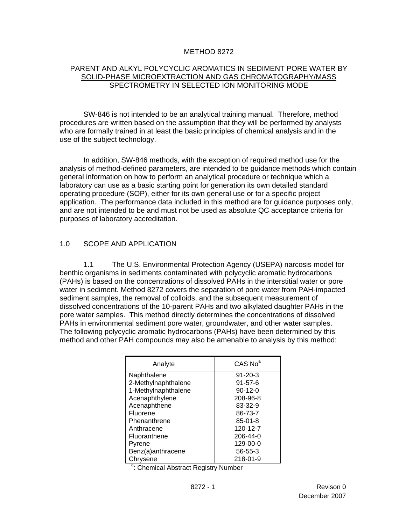#### METHOD 8272

#### PARENT AND ALKYL POLYCYCLIC AROMATICS IN SEDIMENT PORE WATER BY SOLID-PHASE MICROEXTRACTION AND GAS CHROMATOGRAPHY/MASS SPECTROMETRY IN SELECTED ION MONITORING MODE

 SW-846 is not intended to be an analytical training manual. Therefore, method procedures are written based on the assumption that they will be performed by analysts who are formally trained in at least the basic principles of chemical analysis and in the use of the subject technology.

 In addition, SW-846 methods, with the exception of required method use for the analysis of method-defined parameters, are intended to be guidance methods which contain general information on how to perform an analytical procedure or technique which a laboratory can use as a basic starting point for generation its own detailed standard operating procedure (SOP), either for its own general use or for a specific project application. The performance data included in this method are for guidance purposes only, and are not intended to be and must not be used as absolute QC acceptance criteria for purposes of laboratory accreditation.

### 1.0 SCOPE AND APPLICATION

 1.1 The U.S. Environmental Protection Agency (USEPA) narcosis model for benthic organisms in sediments contaminated with polycyclic aromatic hydrocarbons (PAHs) is based on the concentrations of dissolved PAHs in the interstitial water or pore water in sediment. Method 8272 covers the separation of pore water from PAH-impacted sediment samples, the removal of colloids, and the subsequent measurement of dissolved concentrations of the 10-parent PAHs and two alkylated daughter PAHs in the pore water samples. This method directly determines the concentrations of dissolved PAHs in environmental sediment pore water, groundwater, and other water samples. The following polycyclic aromatic hydrocarbons (PAHs) have been determined by this method and other PAH compounds may also be amenable to analysis by this method:

| Analyte             | $CAS$ $Noa$    |
|---------------------|----------------|
| Naphthalene         | $91 - 20 - 3$  |
| 2-Methylnaphthalene | $91 - 57 - 6$  |
| 1-Methylnaphthalene | $90-12-0$      |
| Acenaphthylene      | 208-96-8       |
| Acenaphthene        | 83-32-9        |
| Fluorene            | 86-73-7        |
| Phenanthrene        | $85 - 01 - 8$  |
| Anthracene          | 120-12-7       |
| Fluoranthene        | $206 - 44 - 0$ |
| Pyrene              | 129-00-0       |
| Benz(a)anthracene   | 56-55-3        |
| Chrvsene            | 218-01-9       |

<u>a a shekara ta 1979 na shekara ta 1971</u> <sup>a</sup>: Chemical Abstract Registry Number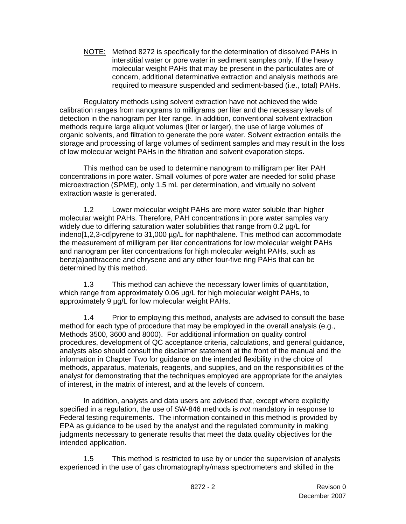NOTE: Method 8272 is specifically for the determination of dissolved PAHs in interstitial water or pore water in sediment samples only. If the heavy molecular weight PAHs that may be present in the particulates are of concern, additional determinative extraction and analysis methods are required to measure suspended and sediment-based (i.e., total) PAHs.

 Regulatory methods using solvent extraction have not achieved the wide calibration ranges from nanograms to milligrams per liter and the necessary levels of detection in the nanogram per liter range. In addition, conventional solvent extraction methods require large aliquot volumes (liter or larger), the use of large volumes of organic solvents, and filtration to generate the pore water. Solvent extraction entails the storage and processing of large volumes of sediment samples and may result in the loss of low molecular weight PAHs in the filtration and solvent evaporation steps.

 This method can be used to determine nanogram to milligram per liter PAH concentrations in pore water. Small volumes of pore water are needed for solid phase microextraction (SPME), only 1.5 mL per determination, and virtually no solvent extraction waste is generated.

 1.2 Lower molecular weight PAHs are more water soluble than higher molecular weight PAHs. Therefore, PAH concentrations in pore water samples vary widely due to differing saturation water solubilities that range from 0.2  $\mu$ g/L for indeno[1,2,3-cd]pyrene to 31,000 µg/L for naphthalene. This method can accommodate the measurement of milligram per liter concentrations for low molecular weight PAHs and nanogram per liter concentrations for high molecular weight PAHs, such as benz(a)anthracene and chrysene and any other four-five ring PAHs that can be determined by this method.

 1.3 This method can achieve the necessary lower limits of quantitation, which range from approximately 0.06  $\mu q/L$  for high molecular weight PAHs, to approximately 9 µg/L for low molecular weight PAHs.

 1.4 Prior to employing this method, analysts are advised to consult the base method for each type of procedure that may be employed in the overall analysis (e.g., Methods 3500, 3600 and 8000). For additional information on quality control procedures, development of QC acceptance criteria, calculations, and general guidance, analysts also should consult the disclaimer statement at the front of the manual and the information in Chapter Two for guidance on the intended flexibility in the choice of methods, apparatus, materials, reagents, and supplies, and on the responsibilities of the analyst for demonstrating that the techniques employed are appropriate for the analytes of interest, in the matrix of interest, and at the levels of concern.

 In addition, analysts and data users are advised that, except where explicitly specified in a regulation, the use of SW-846 methods is *not* mandatory in response to Federal testing requirements. The information contained in this method is provided by EPA as guidance to be used by the analyst and the regulated community in making judgments necessary to generate results that meet the data quality objectives for the intended application.

 1.5 This method is restricted to use by or under the supervision of analysts experienced in the use of gas chromatography/mass spectrometers and skilled in the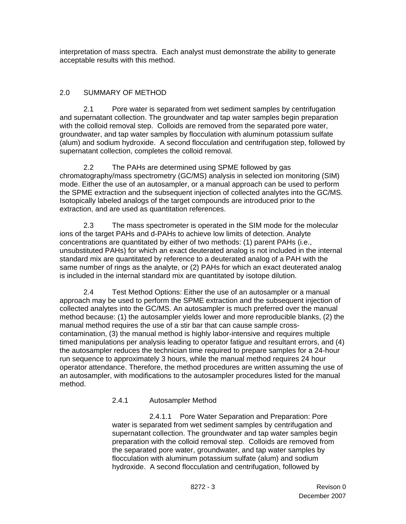interpretation of mass spectra. Each analyst must demonstrate the ability to generate acceptable results with this method.

## 2.0 SUMMARY OF METHOD

 2.1 Pore water is separated from wet sediment samples by centrifugation and supernatant collection. The groundwater and tap water samples begin preparation with the colloid removal step. Colloids are removed from the separated pore water, groundwater, and tap water samples by flocculation with aluminum potassium sulfate (alum) and sodium hydroxide. A second flocculation and centrifugation step, followed by supernatant collection, completes the colloid removal.

 2.2 The PAHs are determined using SPME followed by gas chromatography/mass spectrometry (GC/MS) analysis in selected ion monitoring (SIM) mode. Either the use of an autosampler, or a manual approach can be used to perform the SPME extraction and the subsequent injection of collected analytes into the GC/MS. Isotopically labeled analogs of the target compounds are introduced prior to the extraction, and are used as quantitation references.

 2.3 The mass spectrometer is operated in the SIM mode for the molecular ions of the target PAHs and d-PAHs to achieve low limits of detection. Analyte concentrations are quantitated by either of two methods: (1) parent PAHs (i.e., unsubstituted PAHs) for which an exact deuterated analog is not included in the internal standard mix are quantitated by reference to a deuterated analog of a PAH with the same number of rings as the analyte, or (2) PAHs for which an exact deuterated analog is included in the internal standard mix are quantitated by isotope dilution.

 2.4 Test Method Options: Either the use of an autosampler or a manual approach may be used to perform the SPME extraction and the subsequent injection of collected analytes into the GC/MS. An autosampler is much preferred over the manual method because: (1) the autosampler yields lower and more reproducible blanks, (2) the manual method requires the use of a stir bar that can cause sample crosscontamination, (3) the manual method is highly labor-intensive and requires multiple timed manipulations per analysis leading to operator fatigue and resultant errors, and (4) the autosampler reduces the technician time required to prepare samples for a 24-hour run sequence to approximately 3 hours, while the manual method requires 24 hour operator attendance. Therefore, the method procedures are written assuming the use of an autosampler, with modifications to the autosampler procedures listed for the manual method.

### 2.4.1 Autosampler Method

 2.4.1.1 Pore Water Separation and Preparation: Pore water is separated from wet sediment samples by centrifugation and supernatant collection. The groundwater and tap water samples begin preparation with the colloid removal step. Colloids are removed from the separated pore water, groundwater, and tap water samples by flocculation with aluminum potassium sulfate (alum) and sodium hydroxide. A second flocculation and centrifugation, followed by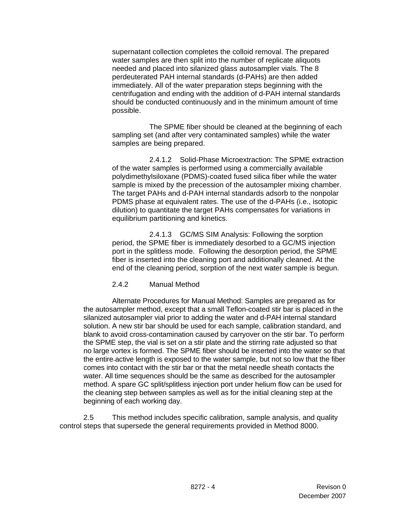supernatant collection completes the colloid removal. The prepared water samples are then split into the number of replicate aliquots needed and placed into silanized glass autosampler vials. The 8 perdeuterated PAH internal standards (d-PAHs) are then added immediately. All of the water preparation steps beginning with the centrifugation and ending with the addition of d-PAH internal standards should be conducted continuously and in the minimum amount of time possible.

 The SPME fiber should be cleaned at the beginning of each sampling set (and after very contaminated samples) while the water samples are being prepared.

 2.4.1.2 Solid-Phase Microextraction: The SPME extraction of the water samples is performed using a commercially available polydimethylsiloxane (PDMS)-coated fused silica fiber while the water sample is mixed by the precession of the autosampler mixing chamber. The target PAHs and d-PAH internal standards adsorb to the nonpolar PDMS phase at equivalent rates. The use of the d-PAHs (i.e., isotopic dilution) to quantitate the target PAHs compensates for variations in equilibrium partitioning and kinetics.

 2.4.1.3 GC/MS SIM Analysis: Following the sorption period, the SPME fiber is immediately desorbed to a GC/MS injection port in the splitless mode. Following the desorption period, the SPME fiber is inserted into the cleaning port and additionally cleaned. At the end of the cleaning period, sorption of the next water sample is begun.

### 2.4.2 Manual Method

 Alternate Procedures for Manual Method: Samples are prepared as for the autosampler method, except that a small Teflon-coated stir bar is placed in the silanized autosampler vial prior to adding the water and d-PAH internal standard solution. A new stir bar should be used for each sample, calibration standard, and blank to avoid cross-contamination caused by carryover on the stir bar. To perform the SPME step, the vial is set on a stir plate and the stirring rate adjusted so that no large vortex is formed. The SPME fiber should be inserted into the water so that the entire active length is exposed to the water sample, but not so low that the fiber comes into contact with the stir bar or that the metal needle sheath contacts the water. All time sequences should be the same as described for the autosampler method. A spare GC split/splitless injection port under helium flow can be used for the cleaning step between samples as well as for the initial cleaning step at the beginning of each working day.

 2.5 This method includes specific calibration, sample analysis, and quality control steps that supersede the general requirements provided in Method 8000.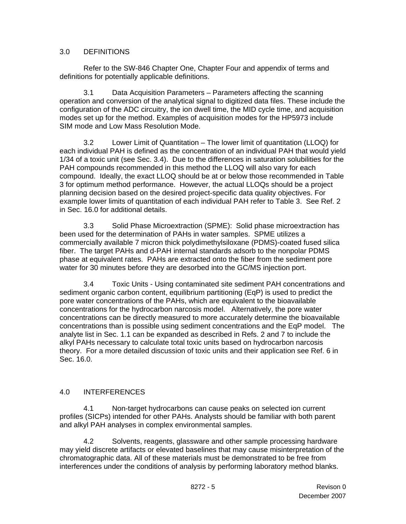#### 3.0 DEFINITIONS

 Refer to the SW-846 Chapter One, Chapter Four and appendix of terms and definitions for potentially applicable definitions.

 3.1 Data Acquisition Parameters – Parameters affecting the scanning operation and conversion of the analytical signal to digitized data files. These include the configuration of the ADC circuitry, the ion dwell time, the MID cycle time, and acquisition modes set up for the method. Examples of acquisition modes for the HP5973 include SIM mode and Low Mass Resolution Mode.

 3.2 Lower Limit of Quantitation – The lower limit of quantitation (LLOQ) for each individual PAH is defined as the concentration of an individual PAH that would yield 1/34 of a toxic unit (see Sec. 3.4). Due to the differences in saturation solubilities for the PAH compounds recommended in this method the LLOQ will also vary for each compound. Ideally, the exact LLOQ should be at or below those recommended in Table 3 for optimum method performance. However, the actual LLOQs should be a project planning decision based on the desired project-specific data quality objectives. For example lower limits of quantitation of each individual PAH refer to Table 3. See Ref. 2 in Sec. 16.0 for additional details.

 3.3 Solid Phase Microextraction (SPME): Solid phase microextraction has been used for the determination of PAHs in water samples. SPME utilizes a commercially available 7 micron thick polydimethylsiloxane (PDMS)-coated fused silica fiber. The target PAHs and d-PAH internal standards adsorb to the nonpolar PDMS phase at equivalent rates. PAHs are extracted onto the fiber from the sediment pore water for 30 minutes before they are desorbed into the GC/MS injection port.

 3.4 Toxic Units - Using contaminated site sediment PAH concentrations and sediment organic carbon content, equilibrium partitioning (EqP) is used to predict the pore water concentrations of the PAHs, which are equivalent to the bioavailable concentrations for the hydrocarbon narcosis model. Alternatively, the pore water concentrations can be directly measured to more accurately determine the bioavailable concentrations than is possible using sediment concentrations and the EqP model. The analyte list in Sec. 1.1 can be expanded as described in Refs. 2 and 7 to include the alkyl PAHs necessary to calculate total toxic units based on hydrocarbon narcosis theory. For a more detailed discussion of toxic units and their application see Ref. 6 in Sec. 16.0.

### 4.0 INTERFERENCES

 4.1 Non-target hydrocarbons can cause peaks on selected ion current profiles (SICPs) intended for other PAHs. Analysts should be familiar with both parent and alkyl PAH analyses in complex environmental samples.

 4.2 Solvents, reagents, glassware and other sample processing hardware may yield discrete artifacts or elevated baselines that may cause misinterpretation of the chromatographic data. All of these materials must be demonstrated to be free from interferences under the conditions of analysis by performing laboratory method blanks.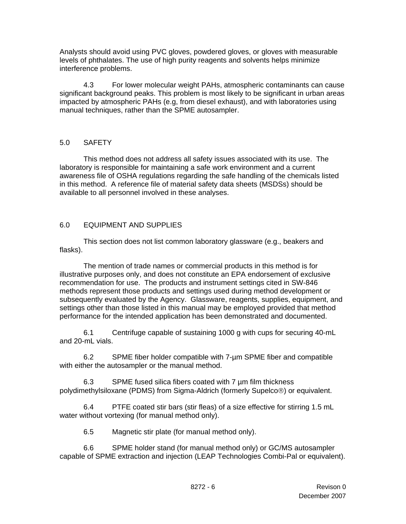Analysts should avoid using PVC gloves, powdered gloves, or gloves with measurable levels of phthalates. The use of high purity reagents and solvents helps minimize interference problems.

 4.3 For lower molecular weight PAHs, atmospheric contaminants can cause significant background peaks. This problem is most likely to be significant in urban areas impacted by atmospheric PAHs (e.g, from diesel exhaust), and with laboratories using manual techniques, rather than the SPME autosampler.

### 5.0 SAFETY

 This method does not address all safety issues associated with its use. The laboratory is responsible for maintaining a safe work environment and a current awareness file of OSHA regulations regarding the safe handling of the chemicals listed in this method. A reference file of material safety data sheets (MSDSs) should be available to all personnel involved in these analyses.

### 6.0 EQUIPMENT AND SUPPLIES

 This section does not list common laboratory glassware (e.g., beakers and flasks).

 The mention of trade names or commercial products in this method is for illustrative purposes only, and does not constitute an EPA endorsement of exclusive recommendation for use. The products and instrument settings cited in SW-846 methods represent those products and settings used during method development or subsequently evaluated by the Agency. Glassware, reagents, supplies, equipment, and settings other than those listed in this manual may be employed provided that method performance for the intended application has been demonstrated and documented.

 6.1 Centrifuge capable of sustaining 1000 g with cups for securing 40-mL and 20-mL vials.

 6.2 SPME fiber holder compatible with 7-µm SPME fiber and compatible with either the autosampler or the manual method.

 6.3 SPME fused silica fibers coated with 7 µm film thickness polydimethylsiloxane (PDMS) from Sigma-Aldrich (formerly Supelco®) or equivalent.

 6.4 PTFE coated stir bars (stir fleas) of a size effective for stirring 1.5 mL water without vortexing (for manual method only).

6.5 Magnetic stir plate (for manual method only).

 6.6 SPME holder stand (for manual method only) or GC/MS autosampler capable of SPME extraction and injection (LEAP Technologies Combi-Pal or equivalent).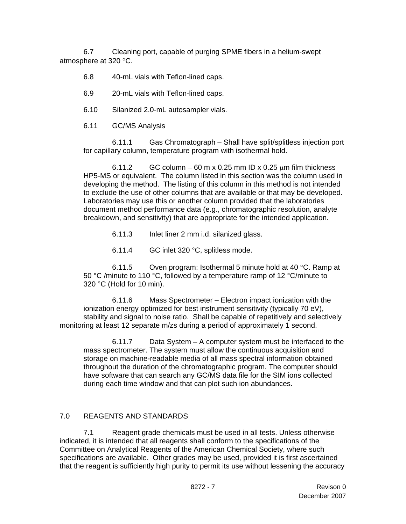6.7 Cleaning port, capable of purging SPME fibers in a helium-swept atmosphere at 320 °C.

- 6.8 40-mL vials with Teflon-lined caps.
- 6.9 20-mL vials with Teflon-lined caps.
- 6.10 Silanized 2.0-mL autosampler vials.
- 6.11 GC/MS Analysis

 6.11.1 Gas Chromatograph – Shall have split/splitless injection port for capillary column, temperature program with isothermal hold.

6.11.2 GC column – 60 m x 0.25 mm ID x 0.25  $\mu$ m film thickness HP5-MS or equivalent. The column listed in this section was the column used in developing the method. The listing of this column in this method is not intended to exclude the use of other columns that are available or that may be developed. Laboratories may use this or another column provided that the laboratories document method performance data (e.g., chromatographic resolution, analyte breakdown, and sensitivity) that are appropriate for the intended application.

- 6.11.3 Inlet liner 2 mm i.d. silanized glass.
- 6.11.4 GC inlet 320 °C, splitless mode.

 6.11.5 Oven program: Isothermal 5 minute hold at 40 °C. Ramp at 50 °C /minute to 110 °C, followed by a temperature ramp of 12 °C/minute to 320 °C (Hold for 10 min).

 6.11.6 Mass Spectrometer – Electron impact ionization with the ionization energy optimized for best instrument sensitivity (typically 70 eV), stability and signal to noise ratio. Shall be capable of repetitively and selectively monitoring at least 12 separate m/zs during a period of approximately 1 second.

 6.11.7 Data System – A computer system must be interfaced to the mass spectrometer. The system must allow the continuous acquisition and storage on machine-readable media of all mass spectral information obtained throughout the duration of the chromatographic program. The computer should have software that can search any GC/MS data file for the SIM ions collected during each time window and that can plot such ion abundances.

# 7.0 REAGENTS AND STANDARDS

 7.1 Reagent grade chemicals must be used in all tests. Unless otherwise indicated, it is intended that all reagents shall conform to the specifications of the Committee on Analytical Reagents of the American Chemical Society, where such specifications are available. Other grades may be used, provided it is first ascertained that the reagent is sufficiently high purity to permit its use without lessening the accuracy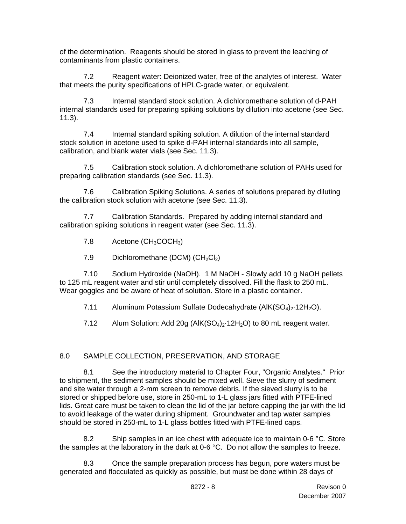of the determination. Reagents should be stored in glass to prevent the leaching of contaminants from plastic containers.

 7.2 Reagent water: Deionized water, free of the analytes of interest. Water that meets the purity specifications of HPLC-grade water, or equivalent.

 7.3 Internal standard stock solution. A dichloromethane solution of d-PAH internal standards used for preparing spiking solutions by dilution into acetone (see Sec. 11.3).

 7.4 Internal standard spiking solution. A dilution of the internal standard stock solution in acetone used to spike d-PAH internal standards into all sample, calibration, and blank water vials (see Sec. 11.3).

 7.5 Calibration stock solution. A dichloromethane solution of PAHs used for preparing calibration standards (see Sec. 11.3).

 7.6 Calibration Spiking Solutions. A series of solutions prepared by diluting the calibration stock solution with acetone (see Sec. 11.3).

 7.7 Calibration Standards. Prepared by adding internal standard and calibration spiking solutions in reagent water (see Sec. 11.3).

7.8 Acetone  $(CH_3COCH_3)$ 

7.9 Dichloromethane (DCM)  $(CH_2Cl_2)$ 

 7.10 Sodium Hydroxide (NaOH). 1 M NaOH - Slowly add 10 g NaOH pellets to 125 mL reagent water and stir until completely dissolved. Fill the flask to 250 mL. Wear goggles and be aware of heat of solution. Store in a plastic container.

7.11 Aluminum Potassium Sulfate Dodecahydrate ( $AIK(SO<sub>4</sub>)<sub>2</sub>$ .12H<sub>2</sub>O).

7.12 Alum Solution: Add 20g  $(AIK(SO<sub>4</sub>)<sub>2</sub>·12H<sub>2</sub>O)$  to 80 mL reagent water.

### 8.0 SAMPLE COLLECTION, PRESERVATION, AND STORAGE

 8.1 See the introductory material to Chapter Four, "Organic Analytes." Prior to shipment, the sediment samples should be mixed well. Sieve the slurry of sediment and site water through a 2-mm screen to remove debris. If the sieved slurry is to be stored or shipped before use, store in 250-mL to 1-L glass jars fitted with PTFE-lined lids. Great care must be taken to clean the lid of the jar before capping the jar with the lid to avoid leakage of the water during shipment. Groundwater and tap water samples should be stored in 250-mL to 1-L glass bottles fitted with PTFE-lined caps.

8.2 Ship samples in an ice chest with adequate ice to maintain 0-6 °C. Store the samples at the laboratory in the dark at 0-6 °C. Do not allow the samples to freeze.

 8.3 Once the sample preparation process has begun, pore waters must be generated and flocculated as quickly as possible, but must be done within 28 days of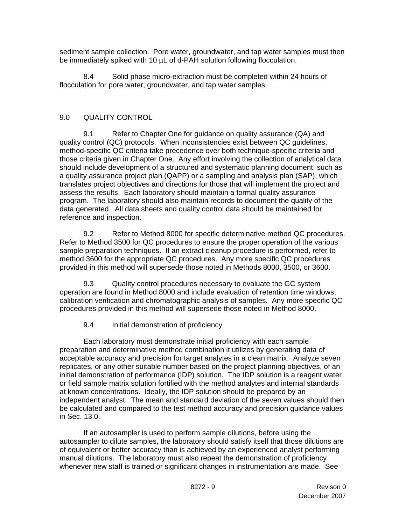sediment sample collection. Pore water, groundwater, and tap water samples must then be immediately spiked with 10 µL of d-PAH solution following flocculation.

 8.4 Solid phase micro-extraction must be completed within 24 hours of flocculation for pore water, groundwater, and tap water samples.

### 9.0 QUALITY CONTROL

 9.1 Refer to Chapter One for guidance on quality assurance (QA) and quality control (QC) protocols. When inconsistencies exist between QC guidelines, method-specific QC criteria take precedence over both technique-specific criteria and those criteria given in Chapter One. Any effort involving the collection of analytical data should include development of a structured and systematic planning document, such as a quality assurance project plan (QAPP) or a sampling and analysis plan (SAP), which translates project objectives and directions for those that will implement the project and assess the results. Each laboratory should maintain a formal quality assurance program. The laboratory should also maintain records to document the quality of the data generated. All data sheets and quality control data should be maintained for reference and inspection.

 9.2 Refer to Method 8000 for specific determinative method QC procedures. Refer to Method 3500 for QC procedures to ensure the proper operation of the various sample preparation techniques. If an extract cleanup procedure is performed, refer to method 3600 for the appropriate QC procedures. Any more specific QC procedures provided in this method will supersede those noted in Methods 8000, 3500, or 3600.

 9.3 Quality control procedures necessary to evaluate the GC system operation are found in Method 8000 and include evaluation of retention time windows, calibration verification and chromatographic analysis of samples. Any more specific QC procedures provided in this method will supersede those noted in Method 8000.

#### 9.4 Initial demonstration of proficiency

 Each laboratory must demonstrate initial proficiency with each sample preparation and determinative method combination it utilizes by generating data of acceptable accuracy and precision for target analytes in a clean matrix. Analyze seven replicates, or any other suitable number based on the project planning objectives, of an initial demonstration of performance (IDP) solution. The IDP solution is a reagent water or field sample matrix solution fortified with the method analytes and internal standards at known concentrations. Ideally, the IDP solution should be prepared by an independent analyst. The mean and standard deviation of the seven values should then be calculated and compared to the test method accuracy and precision guidance values in Sec. 13.0.

 If an autosampler is used to perform sample dilutions, before using the autosampler to dilute samples, the laboratory should satisfy itself that those dilutions are of equivalent or better accuracy than is achieved by an experienced analyst performing manual dilutions. The laboratory must also repeat the demonstration of proficiency whenever new staff is trained or significant changes in instrumentation are made. See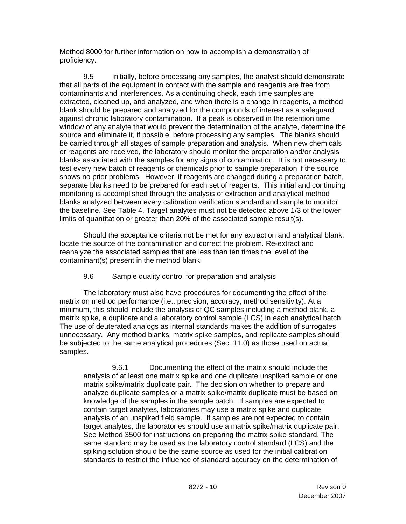Method 8000 for further information on how to accomplish a demonstration of proficiency.

 9.5 Initially, before processing any samples, the analyst should demonstrate that all parts of the equipment in contact with the sample and reagents are free from contaminants and interferences. As a continuing check, each time samples are extracted, cleaned up, and analyzed, and when there is a change in reagents, a method blank should be prepared and analyzed for the compounds of interest as a safeguard against chronic laboratory contamination. If a peak is observed in the retention time window of any analyte that would prevent the determination of the analyte, determine the source and eliminate it, if possible, before processing any samples. The blanks should be carried through all stages of sample preparation and analysis. When new chemicals or reagents are received, the laboratory should monitor the preparation and/or analysis blanks associated with the samples for any signs of contamination. It is not necessary to test every new batch of reagents or chemicals prior to sample preparation if the source shows no prior problems. However, if reagents are changed during a preparation batch, separate blanks need to be prepared for each set of reagents. This initial and continuing monitoring is accomplished through the analysis of extraction and analytical method blanks analyzed between every calibration verification standard and sample to monitor the baseline. See Table 4. Target analytes must not be detected above 1/3 of the lower limits of quantitation or greater than 20% of the associated sample result(s).

 Should the acceptance criteria not be met for any extraction and analytical blank, locate the source of the contamination and correct the problem. Re-extract and reanalyze the associated samples that are less than ten times the level of the contaminant(s) present in the method blank.

9.6 Sample quality control for preparation and analysis

 The laboratory must also have procedures for documenting the effect of the matrix on method performance (i.e., precision, accuracy, method sensitivity). At a minimum, this should include the analysis of QC samples including a method blank, a matrix spike, a duplicate and a laboratory control sample (LCS) in each analytical batch. The use of deuterated analogs as internal standards makes the addition of surrogates unnecessary. Any method blanks, matrix spike samples, and replicate samples should be subjected to the same analytical procedures (Sec. 11.0) as those used on actual samples.

 9.6.1 Documenting the effect of the matrix should include the analysis of at least one matrix spike and one duplicate unspiked sample or one matrix spike/matrix duplicate pair. The decision on whether to prepare and analyze duplicate samples or a matrix spike/matrix duplicate must be based on knowledge of the samples in the sample batch. If samples are expected to contain target analytes, laboratories may use a matrix spike and duplicate analysis of an unspiked field sample. If samples are not expected to contain target analytes, the laboratories should use a matrix spike/matrix duplicate pair. See Method 3500 for instructions on preparing the matrix spike standard. The same standard may be used as the laboratory control standard (LCS) and the spiking solution should be the same source as used for the initial calibration standards to restrict the influence of standard accuracy on the determination of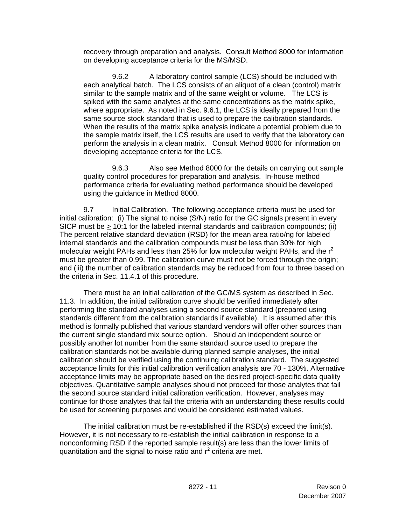recovery through preparation and analysis. Consult Method 8000 for information on developing acceptance criteria for the MS/MSD.

 9.6.2 A laboratory control sample (LCS) should be included with each analytical batch. The LCS consists of an aliquot of a clean (control) matrix similar to the sample matrix and of the same weight or volume. The LCS is spiked with the same analytes at the same concentrations as the matrix spike, where appropriate. As noted in Sec. 9.6.1, the LCS is ideally prepared from the same source stock standard that is used to prepare the calibration standards. When the results of the matrix spike analysis indicate a potential problem due to the sample matrix itself, the LCS results are used to verify that the laboratory can perform the analysis in a clean matrix. Consult Method 8000 for information on developing acceptance criteria for the LCS.

 9.6.3 Also see Method 8000 for the details on carrying out sample quality control procedures for preparation and analysis. In-house method performance criteria for evaluating method performance should be developed using the guidance in Method 8000.

 9.7 Initial Calibration. The following acceptance criteria must be used for initial calibration: (i) The signal to noise (S/N) ratio for the GC signals present in every SICP must be  $\geq 10:1$  for the labeled internal standards and calibration compounds; (ii) The percent relative standard deviation (RSD) for the mean area ratio/ng for labeled internal standards and the calibration compounds must be less than 30% for high molecular weight PAHs and less than 25% for low molecular weight PAHs, and the  $r^2$ must be greater than 0.99. The calibration curve must not be forced through the origin; and (iii) the number of calibration standards may be reduced from four to three based on the criteria in Sec. 11.4.1 of this procedure.

 There must be an initial calibration of the GC/MS system as described in Sec. 11.3. In addition, the initial calibration curve should be verified immediately after performing the standard analyses using a second source standard (prepared using standards different from the calibration standards if available). It is assumed after this method is formally published that various standard vendors will offer other sources than the current single standard mix source option. Should an independent source or possibly another lot number from the same standard source used to prepare the calibration standards not be available during planned sample analyses, the initial calibration should be verified using the continuing calibration standard. The suggested acceptance limits for this initial calibration verification analysis are 70 - 130%. Alternative acceptance limits may be appropriate based on the desired project-specific data quality objectives. Quantitative sample analyses should not proceed for those analytes that fail the second source standard initial calibration verification. However, analyses may continue for those analytes that fail the criteria with an understanding these results could be used for screening purposes and would be considered estimated values.

 The initial calibration must be re-established if the RSD(s) exceed the limit(s). However, it is not necessary to re-establish the initial calibration in response to a nonconforming RSD if the reported sample result(s) are less than the lower limits of quantitation and the signal to noise ratio and  $r^2$  criteria are met.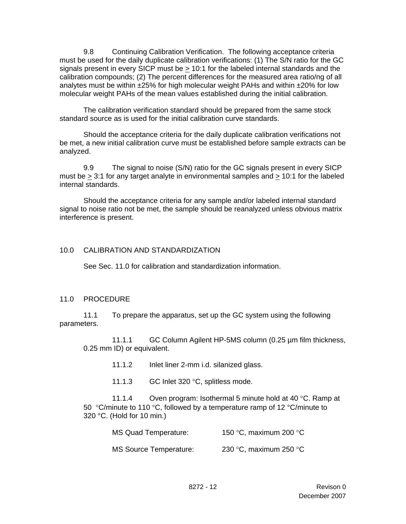9.8 Continuing Calibration Verification. The following acceptance criteria must be used for the daily duplicate calibration verifications: (1) The S/N ratio for the GC signals present in every SICP must be  $\geq 10:1$  for the labeled internal standards and the calibration compounds; (2) The percent differences for the measured area ratio/ng of all analytes must be within  $\pm 25\%$  for high molecular weight PAHs and within  $\pm 20\%$  for low molecular weight PAHs of the mean values established during the initial calibration.

 The calibration verification standard should be prepared from the same stock standard source as is used for the initial calibration curve standards.

 Should the acceptance criteria for the daily duplicate calibration verifications not be met, a new initial calibration curve must be established before sample extracts can be analyzed.

 9.9 The signal to noise (S/N) ratio for the GC signals present in every SICP must be  $>$  3:1 for any target analyte in environmental samples and  $>$  10:1 for the labeled internal standards.

 Should the acceptance criteria for any sample and/or labeled internal standard signal to noise ratio not be met, the sample should be reanalyzed unless obvious matrix interference is present.

#### 10.0 CALIBRATION AND STANDARDIZATION

See Sec. 11.0 for calibration and standardization information.

#### 11.0 PROCEDURE

 11.1 To prepare the apparatus, set up the GC system using the following parameters.

 11.1.1 GC Column Agilent HP-5MS column (0.25 µm film thickness, 0.25 mm ID) or equivalent.

11.1.2 Inlet liner 2-mm i.d. silanized glass.

11.1.3 GC Inlet 320 °C, splitless mode.

 11.1.4 Oven program: Isothermal 5 minute hold at 40 °C. Ramp at 50 °C/minute to 110 °C, followed by a temperature ramp of 12 °C/minute to 320 °C. (Hold for 10 min.)

| MS Quad Temperature:          | 150 °C, maximum 200 °C |
|-------------------------------|------------------------|
| <b>MS Source Temperature:</b> | 230 °C, maximum 250 °C |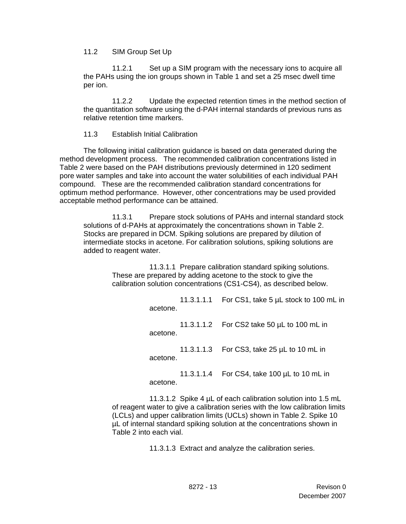11.2 SIM Group Set Up

 11.2.1 Set up a SIM program with the necessary ions to acquire all the PAHs using the ion groups shown in Table 1 and set a 25 msec dwell time per ion.

 11.2.2 Update the expected retention times in the method section of the quantitation software using the d-PAH internal standards of previous runs as relative retention time markers.

#### 11.3 Establish Initial Calibration

 The following initial calibration guidance is based on data generated during the method development process. The recommended calibration concentrations listed in Table 2 were based on the PAH distributions previously determined in 120 sediment pore water samples and take into account the water solubilities of each individual PAH compound. These are the recommended calibration standard concentrations for optimum method performance. However, other concentrations may be used provided acceptable method performance can be attained.

 11.3.1 Prepare stock solutions of PAHs and internal standard stock solutions of d-PAHs at approximately the concentrations shown in Table 2. Stocks are prepared in DCM. Spiking solutions are prepared by dilution of intermediate stocks in acetone. For calibration solutions, spiking solutions are added to reagent water.

> 11.3.1.1 Prepare calibration standard spiking solutions. These are prepared by adding acetone to the stock to give the calibration solution concentrations (CS1-CS4), as described below.

> > 11.3.1.1.1 For CS1, take 5 µL stock to 100 mL in acetone.

 11.3.1.1.2 For CS2 take 50 µL to 100 mL in acetone.

 11.3.1.1.3 For CS3, take 25 µL to 10 mL in acetone.

 11.3.1.1.4 For CS4, take 100 µL to 10 mL in acetone.

 11.3.1.2 Spike 4 µL of each calibration solution into 1.5 mL of reagent water to give a calibration series with the low calibration limits (LCLs) and upper calibration limits (UCLs) shown in Table 2. Spike 10 µL of internal standard spiking solution at the concentrations shown in Table 2 into each vial.

11.3.1.3 Extract and analyze the calibration series.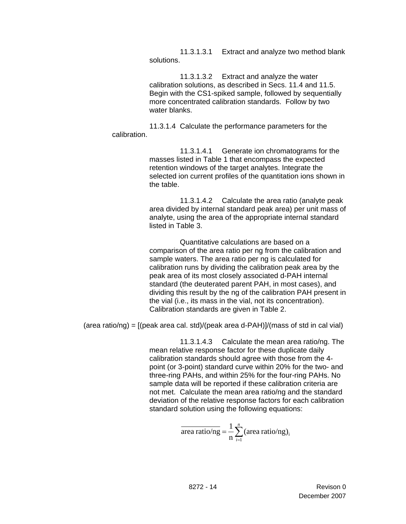11.3.1.3.1 Extract and analyze two method blank solutions.

 11.3.1.3.2 Extract and analyze the water calibration solutions, as described in Secs. 11.4 and 11.5. Begin with the CS1-spiked sample, followed by sequentially more concentrated calibration standards. Follow by two water blanks.

 11.3.1.4 Calculate the performance parameters for the calibration.

> 11.3.1.4.1 Generate ion chromatograms for the masses listed in Table 1 that encompass the expected retention windows of the target analytes. Integrate the selected ion current profiles of the quantitation ions shown in the table.

> 11.3.1.4.2 Calculate the area ratio (analyte peak area divided by internal standard peak area) per unit mass of analyte, using the area of the appropriate internal standard listed in Table 3.

> Quantitative calculations are based on a comparison of the area ratio per ng from the calibration and sample waters. The area ratio per ng is calculated for calibration runs by dividing the calibration peak area by the peak area of its most closely associated d-PAH internal standard (the deuterated parent PAH, in most cases), and dividing this result by the ng of the calibration PAH present in the vial (i.e., its mass in the vial, not its concentration). Calibration standards are given in Table 2.

(area ratio/ng) =  $[(peak \ area \ cal. std)/(peak \ area \ d-PAH)]/(mass \ of std in \ cal)$ 

 11.3.1.4.3 Calculate the mean area ratio/ng. The mean relative response factor for these duplicate daily calibration standards should agree with those from the 4 point (or 3-point) standard curve within 20% for the two- and three-ring PAHs, and within 25% for the four-ring PAHs. No sample data will be reported if these calibration criteria are not met. Calculate the mean area ratio/ng and the standard deviation of the relative response factors for each calibration standard solution using the following equations:

$$
\overline{\text{area ratio/ng}} = \frac{1}{n} \sum_{i=1}^{n} (\text{area ratio/ng})_i
$$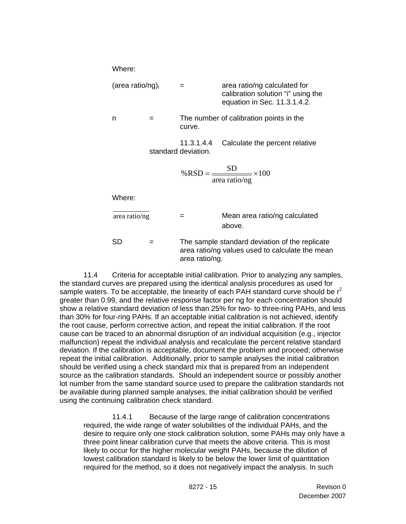Where:

| $(\text{area ratio}/\text{ng})_1$ | $=$ | area ratio/ng calculated for<br>calibration solution "i" using the<br>equation in Sec. 11.3.1.4.2. |  |
|-----------------------------------|-----|----------------------------------------------------------------------------------------------------|--|
|                                   |     |                                                                                                    |  |

 $n =$  The number of calibration points in the curve.

> 11.3.1.4.4 Calculate the percent relative standard deviation.

$$
\% RSD = \frac{SD}{\text{area ratio/ng}} \times 100
$$

Where:

 $area ratio/ng =$  Mean area ratio/ng calculated above.

> $SD =$  The sample standard deviation of the replicate area ratio/ng values used to calculate the mean area ratio/ng.

 11.4 Criteria for acceptable initial calibration. Prior to analyzing any samples, the standard curves are prepared using the identical analysis procedures as used for sample waters. To be acceptable, the linearity of each PAH standard curve should be  $r^2$ greater than 0.99, and the relative response factor per ng for each concentration should show a relative standard deviation of less than 25% for two- to three-ring PAHs, and less than 30% for four-ring PAHs. If an acceptable initial calibration is not achieved, identify the root cause, perform corrective action, and repeat the initial calibration. If the root cause can be traced to an abnormal disruption of an individual acquisition (e.g., injector malfunction) repeat the individual analysis and recalculate the percent relative standard deviation. If the calibration is acceptable, document the problem and proceed; otherwise repeat the initial calibration. Additionally, prior to sample analyses the initial calibration should be verified using a check standard mix that is prepared from an independent source as the calibration standards. Should an independent source or possibly another lot number from the same standard source used to prepare the calibration standards not be available during planned sample analyses, the initial calibration should be verified using the continuing calibration check standard.

 11.4.1 Because of the large range of calibration concentrations required, the wide range of water solubilities of the individual PAHs, and the desire to require only one stock calibration solution, some PAHs may only have a three point linear calibration curve that meets the above criteria. This is most likely to occur for the higher molecular weight PAHs, because the dilution of lowest calibration standard is likely to be below the lower limit of quantitation required for the method, so it does not negatively impact the analysis. In such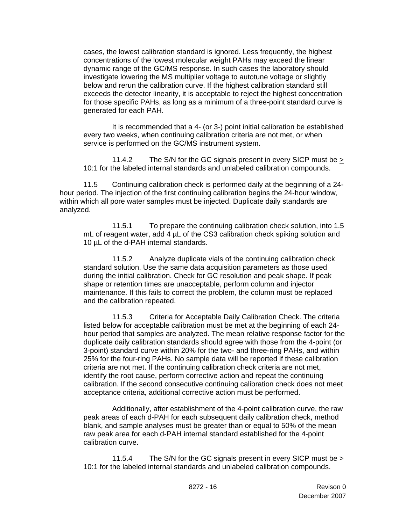cases, the lowest calibration standard is ignored. Less frequently, the highest concentrations of the lowest molecular weight PAHs may exceed the linear dynamic range of the GC/MS response. In such cases the laboratory should investigate lowering the MS multiplier voltage to autotune voltage or slightly below and rerun the calibration curve. If the highest calibration standard still exceeds the detector linearity, it is acceptable to reject the highest concentration for those specific PAHs, as long as a minimum of a three-point standard curve is generated for each PAH.

 It is recommended that a 4- (or 3-) point initial calibration be established every two weeks, when continuing calibration criteria are not met, or when service is performed on the GC/MS instrument system.

11.4.2 The S/N for the GC signals present in every SICP must be  $\geq$ 10:1 for the labeled internal standards and unlabeled calibration compounds.

 11.5 Continuing calibration check is performed daily at the beginning of a 24 hour period. The injection of the first continuing calibration begins the 24-hour window, within which all pore water samples must be injected. Duplicate daily standards are analyzed.

 11.5.1 To prepare the continuing calibration check solution, into 1.5  $mL$  of reagent water, add 4  $\mu$ L of the CS3 calibration check spiking solution and 10 µL of the d-PAH internal standards.

 11.5.2 Analyze duplicate vials of the continuing calibration check standard solution. Use the same data acquisition parameters as those used during the initial calibration. Check for GC resolution and peak shape. If peak shape or retention times are unacceptable, perform column and injector maintenance. If this fails to correct the problem, the column must be replaced and the calibration repeated.

 11.5.3 Criteria for Acceptable Daily Calibration Check. The criteria listed below for acceptable calibration must be met at the beginning of each 24 hour period that samples are analyzed. The mean relative response factor for the duplicate daily calibration standards should agree with those from the 4-point (or 3-point) standard curve within 20% for the two- and three-ring PAHs, and within 25% for the four-ring PAHs. No sample data will be reported if these calibration criteria are not met. If the continuing calibration check criteria are not met, identify the root cause, perform corrective action and repeat the continuing calibration. If the second consecutive continuing calibration check does not meet acceptance criteria, additional corrective action must be performed.

 Additionally, after establishment of the 4-point calibration curve, the raw peak areas of each d-PAH for each subsequent daily calibration check, method blank, and sample analyses must be greater than or equal to 50% of the mean raw peak area for each d-PAH internal standard established for the 4-point calibration curve.

11.5.4 The S/N for the GC signals present in every SICP must be  $\geq$ 10:1 for the labeled internal standards and unlabeled calibration compounds.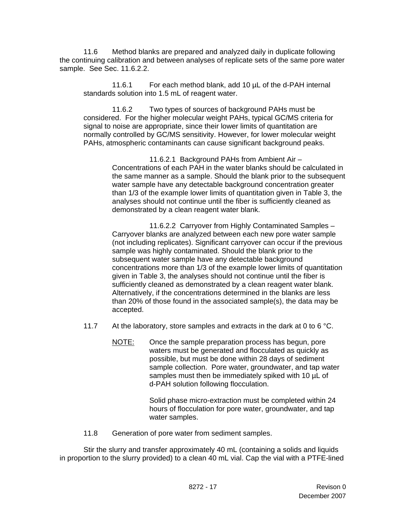11.6 Method blanks are prepared and analyzed daily in duplicate following the continuing calibration and between analyses of replicate sets of the same pore water sample. See Sec. 11.6.2.2.

11.6.1 For each method blank, add 10 µL of the d-PAH internal standards solution into 1.5 mL of reagent water.

 11.6.2 Two types of sources of background PAHs must be considered. For the higher molecular weight PAHs, typical GC/MS criteria for signal to noise are appropriate, since their lower limits of quantitation are normally controlled by GC/MS sensitivity. However, for lower molecular weight PAHs, atmospheric contaminants can cause significant background peaks.

> 11.6.2.1 Background PAHs from Ambient Air – Concentrations of each PAH in the water blanks should be calculated in the same manner as a sample. Should the blank prior to the subsequent water sample have any detectable background concentration greater than 1/3 of the example lower limits of quantitation given in Table 3, the analyses should not continue until the fiber is sufficiently cleaned as demonstrated by a clean reagent water blank.

 11.6.2.2 Carryover from Highly Contaminated Samples – Carryover blanks are analyzed between each new pore water sample (not including replicates). Significant carryover can occur if the previous sample was highly contaminated. Should the blank prior to the subsequent water sample have any detectable background concentrations more than 1/3 of the example lower limits of quantitation given in Table 3, the analyses should not continue until the fiber is sufficiently cleaned as demonstrated by a clean reagent water blank. Alternatively, if the concentrations determined in the blanks are less than 20% of those found in the associated sample(s), the data may be accepted.

- 11.7 At the laboratory, store samples and extracts in the dark at 0 to 6  $\degree$ C.
	- NOTE: Once the sample preparation process has begun, pore waters must be generated and flocculated as quickly as possible, but must be done within 28 days of sediment sample collection. Pore water, groundwater, and tap water samples must then be immediately spiked with 10 µL of d-PAH solution following flocculation.

 Solid phase micro-extraction must be completed within 24 hours of flocculation for pore water, groundwater, and tap water samples.

11.8 Generation of pore water from sediment samples.

 Stir the slurry and transfer approximately 40 mL (containing a solids and liquids in proportion to the slurry provided) to a clean 40 mL vial. Cap the vial with a PTFE-lined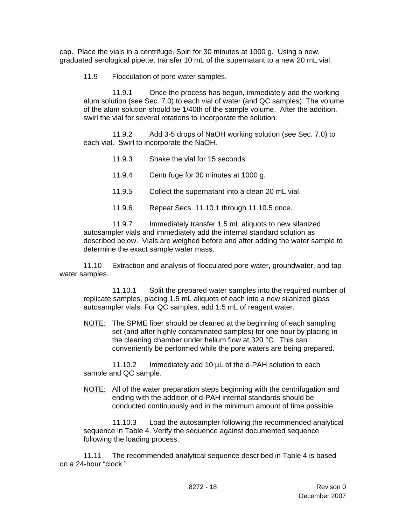cap. Place the vials in a centrifuge. Spin for 30 minutes at 1000 g. Using a new, graduated serological pipette, transfer 10 mL of the supernatant to a new 20 mL vial.

11.9 Flocculation of pore water samples.

 11.9.1 Once the process has begun, immediately add the working alum solution (see Sec. 7.0) to each vial of water (and QC samples). The volume of the alum solution should be 1/40th of the sample volume. After the addition, swirl the vial for several rotations to incorporate the solution.

 11.9.2 Add 3-5 drops of NaOH working solution (see Sec. 7.0) to each vial. Swirl to incorporate the NaOH.

11.9.3 Shake the vial for 15 seconds.

11.9.4 Centrifuge for 30 minutes at 1000 g.

11.9.5 Collect the supernatant into a clean 20 mL vial.

11.9.6 Repeat Secs. 11.10.1 through 11.10.5 once.

 11.9.7 Immediately transfer 1.5 mL aliquots to new silanized autosampler vials and immediately add the internal standard solution as described below. Vials are weighed before and after adding the water sample to determine the exact sample water mass.

 11.10 Extraction and analysis of flocculated pore water, groundwater, and tap water samples.

 11.10.1 Split the prepared water samples into the required number of replicate samples, placing 1.5 mL aliquots of each into a new silanized glass autosampler vials. For QC samples, add 1.5 mL of reagent water.

NOTE: The SPME fiber should be cleaned at the beginning of each sampling set (and after highly contaminated samples) for one hour by placing in the cleaning chamber under helium flow at 320 °C. This can conveniently be performed while the pore waters are being prepared.

 11.10.2 Immediately add 10 µL of the d-PAH solution to each sample and QC sample.

NOTE: All of the water preparation steps beginning with the centrifugation and ending with the addition of d-PAH internal standards should be conducted continuously and in the minimum amount of time possible.

 11.10.3 Load the autosampler following the recommended analytical sequence in Table 4. Verify the sequence against documented sequence following the loading process.

 11.11 The recommended analytical sequence described in Table 4 is based on a 24-hour "clock."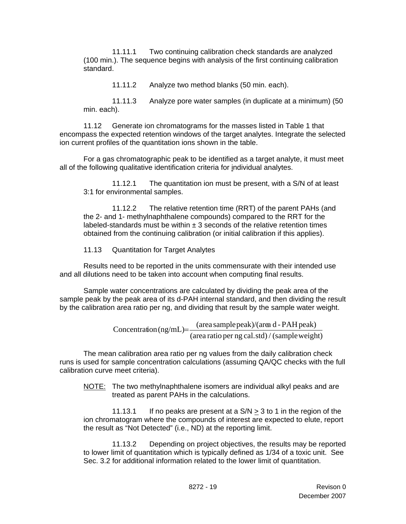11.11.1 Two continuing calibration check standards are analyzed (100 min.). The sequence begins with analysis of the first continuing calibration standard.

11.11.2 Analyze two method blanks (50 min. each).

 11.11.3 Analyze pore water samples (in duplicate at a minimum) (50 min. each).

 11.12 Generate ion chromatograms for the masses listed in Table 1 that encompass the expected retention windows of the target analytes. Integrate the selected ion current profiles of the quantitation ions shown in the table.

For a gas chromatographic peak to be identified as a target analyte, it must meet all of the following qualitative identification criteria for individual analytes.

 11.12.1 The quantitation ion must be present, with a S/N of at least 3:1 for environmental samples.

 11.12.2 The relative retention time (RRT) of the parent PAHs (and the 2- and 1- methylnaphthalene compounds) compared to the RRT for the labeled-standards must be within  $\pm 3$  seconds of the relative retention times obtained from the continuing calibration (or initial calibration if this applies).

11.13 Quantitation for Target Analytes

 Results need to be reported in the units commensurate with their intended use and all dilutions need to be taken into account when computing final results.

 Sample water concentrations are calculated by dividing the peak area of the sample peak by the peak area of its d-PAH internal standard, and then dividing the result by the calibration area ratio per ng, and dividing that result by the sample water weight.

Concentration (ng/mL)= $\frac{\langle \text{area sample peak}\rangle}{\langle \text{area ratio per ng cal. std}\rangle / \langle \text{sample weight}\rangle}$  $\text{Concentration}(\text{ng/mL}) = \frac{(\text{area sample peak})/(\text{area d - PAH peak})}{\sqrt{\text{area}(\text{area d - PAH peak})}}$ 

 The mean calibration area ratio per ng values from the daily calibration check runs is used for sample concentration calculations (assuming QA/QC checks with the full calibration curve meet criteria).

NOTE: The two methylnaphthalene isomers are individual alkyl peaks and are treated as parent PAHs in the calculations.

11.13.1 If no peaks are present at a  $S/N \ge 3$  to 1 in the region of the ion chromatogram where the compounds of interest are expected to elute, report the result as "Not Detected" (i.e., ND) at the reporting limit.

 11.13.2 Depending on project objectives, the results may be reported to lower limit of quantitation which is typically defined as 1/34 of a toxic unit. See Sec. 3.2 for additional information related to the lower limit of quantitation.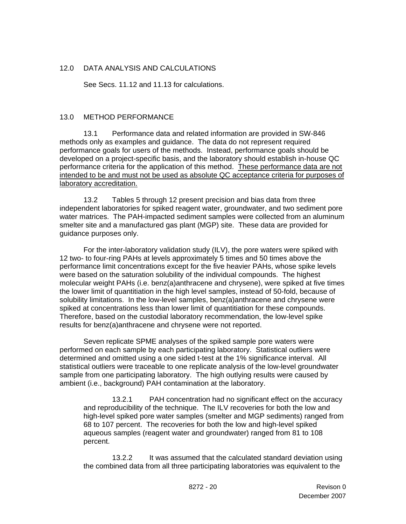### 12.0 DATA ANALYSIS AND CALCULATIONS

See Secs. 11.12 and 11.13 for calculations.

### 13.0 METHOD PERFORMANCE

 13.1 Performance data and related information are provided in SW-846 methods only as examples and guidance. The data do not represent required performance goals for users of the methods. Instead, performance goals should be developed on a project-specific basis, and the laboratory should establish in-house QC performance criteria for the application of this method. These performance data are not intended to be and must not be used as absolute QC acceptance criteria for purposes of laboratory accreditation.

 13.2 Tables 5 through 12 present precision and bias data from three independent laboratories for spiked reagent water, groundwater, and two sediment pore water matrices. The PAH-impacted sediment samples were collected from an aluminum smelter site and a manufactured gas plant (MGP) site. These data are provided for guidance purposes only.

 For the inter-laboratory validation study (ILV), the pore waters were spiked with 12 two- to four-ring PAHs at levels approximately 5 times and 50 times above the performance limit concentrations except for the five heavier PAHs, whose spike levels were based on the saturation solubility of the individual compounds. The highest molecular weight PAHs (i.e. benz(a)anthracene and chrysene), were spiked at five times the lower limit of quantitiation in the high level samples, instead of 50-fold, because of solubility limitations. In the low-level samples, benz(a)anthracene and chrysene were spiked at concentrations less than lower limit of quantitiation for these compounds. Therefore, based on the custodial laboratory recommendation, the low-level spike results for benz(a)anthracene and chrysene were not reported.

 Seven replicate SPME analyses of the spiked sample pore waters were performed on each sample by each participating laboratory. Statistical outliers were determined and omitted using a one sided t-test at the 1% significance interval. All statistical outliers were traceable to one replicate analysis of the low-level groundwater sample from one participating laboratory. The high outlying results were caused by ambient (i.e., background) PAH contamination at the laboratory.

 13.2.1 PAH concentration had no significant effect on the accuracy and reproducibility of the technique. The ILV recoveries for both the low and high-level spiked pore water samples (smelter and MGP sediments) ranged from 68 to 107 percent. The recoveries for both the low and high-level spiked aqueous samples (reagent water and groundwater) ranged from 81 to 108 percent.

 13.2.2 It was assumed that the calculated standard deviation using the combined data from all three participating laboratories was equivalent to the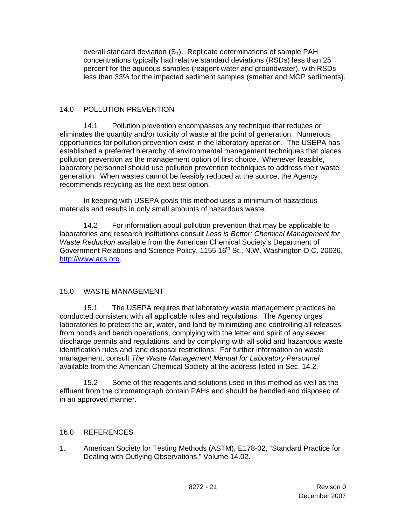overall standard deviation  $(S_T)$ . Replicate determinations of sample PAH concentrations typically had relative standard deviations (RSDs) less than 25 percent for the aqueous samples (reagent water and groundwater), with RSDs less than 33% for the impacted sediment samples (smelter and MGP sediments).

### 14.0 POLLUTION PREVENTION

 14.1 Pollution prevention encompasses any technique that reduces or eliminates the quantity and/or toxicity of waste at the point of generation. Numerous opportunities for pollution prevention exist in the laboratory operation. The USEPA has established a preferred hierarchy of environmental management techniques that places pollution prevention as the management option of first choice. Whenever feasible, laboratory personnel should use pollution prevention techniques to address their waste generation. When wastes cannot be feasibly reduced at the source, the Agency recommends recycling as the next best option.

 In keeping with USEPA goals this method uses a minimum of hazardous materials and results in only small amounts of hazardous waste.

 14.2 For information about pollution prevention that may be applicable to laboratories and research institutions consult *Less is Better: Chemical Management for Waste Reduction* available from the American Chemical Society's Department of Government Relations and Science Policy, 1155 16<sup>th</sup> St., N.W. Washington D.C. 20036, [http://www.acs.org.](http://www.acs.org/)

### 15.0 WASTE MANAGEMENT

 15.1 The USEPA requires that laboratory waste management practices be conducted consistent with all applicable rules and regulations. The Agency urges laboratories to protect the air, water, and land by minimizing and controlling all releases from hoods and bench operations, complying with the letter and spirit of any sewer discharge permits and regulations, and by complying with all solid and hazardous waste identification rules and land disposal restrictions. For further information on waste management, consult *The Waste Management Manual for Laboratory Personnel* available from the American Chemical Society at the address listed in Sec. 14.2.

 15.2 Some of the reagents and solutions used in this method as well as the effluent from the chromatograph contain PAHs and should be handled and disposed of in an approved manner.

#### 16.0 REFERENCES

1. American Society for Testing Methods (ASTM), E178-02, "Standard Practice for Dealing with Outlying Observations," Volume 14.02.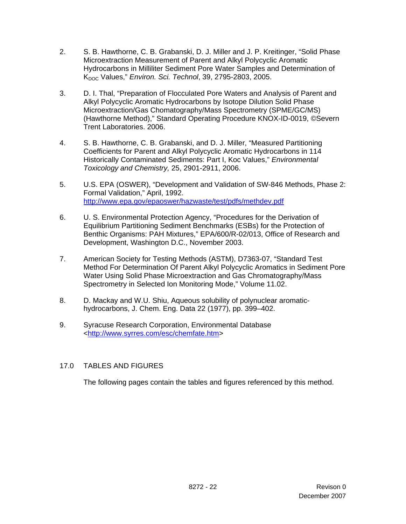- 2. S. B. Hawthorne, C. B. Grabanski, D. J. Miller and J. P. Kreitinger, "Solid Phase Microextraction Measurement of Parent and Alkyl Polycyclic Aromatic Hydrocarbons in Milliliter Sediment Pore Water Samples and Determination of K<sub>noc</sub> Values," *Environ. Sci. Technol*, 39, 2795-2803, 2005.
- 3. D. I. Thal, "Preparation of Flocculated Pore Waters and Analysis of Parent and Alkyl Polycyclic Aromatic Hydrocarbons by Isotope Dilution Solid Phase Microextraction/Gas Chomatography/Mass Spectrometry (SPME/GC/MS) (Hawthorne Method)," Standard Operating Procedure KNOX-ID-0019, ©Severn Trent Laboratories. 2006.
- 4. S. B. Hawthorne, C. B. Grabanski, and D. J. Miller, "Measured Partitioning Coefficients for Parent and Alkyl Polycyclic Aromatic Hydrocarbons in 114 Historically Contaminated Sediments: Part I, Koc Values," *Environmental Toxicology and Chemistry,* 25, 2901-2911, 2006.
- 5. U.S. EPA (OSWER), "Development and Validation of SW-846 Methods, Phase 2: Formal Validation," April, 1992. <http://www.epa.gov/epaoswer/hazwaste/test/pdfs/methdev.pdf>
- 6. U. S. Environmental Protection Agency, "Procedures for the Derivation of Equilibrium Partitioning Sediment Benchmarks (ESBs) for the Protection of Benthic Organisms: PAH Mixtures," EPA/600/R-02/013, Office of Research and Development, Washington D.C., November 2003.
- 7. American Society for Testing Methods (ASTM), D7363-07, "Standard Test Method For Determination Of Parent Alkyl Polycyclic Aromatics in Sediment Pore Water Using Solid Phase Microextraction and Gas Chromatography/Mass Spectrometry in Selected Ion Monitoring Mode," Volume 11.02.
- 8. D. Mackay and W.U. Shiu, Aqueous solubility of polynuclear aromatic hydrocarbons, J. Chem. Eng. Data 22 (1977), pp. 399–402.
- 9. Syracuse Research Corporation, Environmental Database [<http://www.syrres.com/esc/chemfate.htm](http://www.syrres.com/esc/chemfate.htm)>

### 17.0 TABLES AND FIGURES

The following pages contain the tables and figures referenced by this method.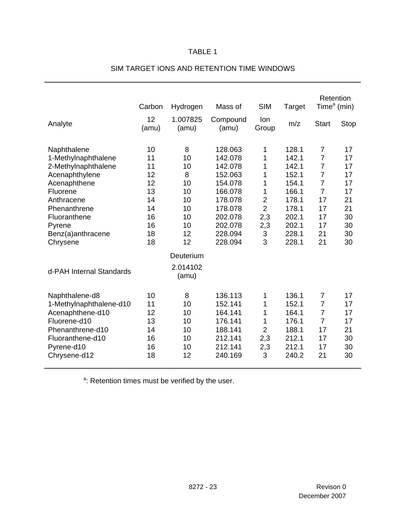|                          | Carbon      | Hydrogen          | Mass of           | <b>SIM</b>                | Target | Retention<br>Time $a$ (min) |             |
|--------------------------|-------------|-------------------|-------------------|---------------------------|--------|-----------------------------|-------------|
| Analyte                  | 12<br>(amu) | 1.007825<br>(amu) | Compound<br>(amu) | lon<br>Group              | m/z    | <b>Start</b>                | <b>Stop</b> |
| Naphthalene              | 10          | 8                 | 128.063           | 1                         | 128.1  | $\overline{7}$              | 17          |
| 1-Methylnaphthalene      | 11          | 10                | 142.078           | 1                         | 142.1  | $\overline{7}$              | 17          |
| 2-Methylnaphthalene      | 11          | 10                | 142.078           | 1                         | 142.1  | $\overline{7}$              | 17          |
| Acenaphthylene           | 12          | 8                 | 152.063           | 1                         | 152.1  | $\overline{7}$              | 17          |
| Acenaphthene             | 12          | 10                | 154.078           | 1                         | 154.1  | $\overline{7}$              | 17          |
| Fluorene                 | 13          | 10                | 166.078           | 1                         | 166.1  | $\overline{7}$              | 17          |
| Anthracene               | 14          | 10                | 178.078           | $\overline{2}$            | 178.1  | 17                          | 21          |
| Phenanthrene             | 14          | 10                | 178.078           | $\overline{2}$            | 178.1  | 17                          | 21          |
| Fluoranthene             | 16          | 10                | 202.078           | 2,3                       | 202.1  | 17                          | 30          |
| Pyrene                   | 16          | 10                | 202.078           | 2,3                       | 202.1  | 17                          | 30          |
| Benz(a)anthracene        | 18          | 12                | 228.094           | $\ensuremath{\mathsf{3}}$ | 228.1  | 21                          | 30          |
| Chrysene                 | 18          | 12                | 228.094           | 3                         | 228.1  | 21                          | 30          |
|                          |             | Deuterium         |                   |                           |        |                             |             |
| d-PAH Internal Standards |             | 2.014102<br>(amu) |                   |                           |        |                             |             |
| Naphthalene-d8           | 10          | 8                 | 136.113           | 1                         | 136.1  | 7                           | 17          |
| 1-Methylnaphthalene-d10  | 11          | 10                | 152.141           | 1                         | 152.1  | $\overline{7}$              | 17          |
| Acenaphthene-d10         | 12          | 10                | 164.141           | 1                         | 164.1  | $\overline{7}$              | 17          |
| Fluorene-d10             | 13          | 10                | 176.141           | 1                         | 176.1  | $\overline{7}$              | 17          |
| Phenanthrene-d10         | 14          | 10                | 188.141           | $\overline{2}$            | 188.1  | 17                          | 21          |
| Fluoranthene-d10         | 16          | 10                | 212.141           | 2,3                       | 212.1  | 17                          | 30          |
| Pyrene-d10               | 16          | 10                | 212.141           | 2,3                       | 212.1  | 17                          | 30          |
| Chrysene-d12             | 18          | 12                | 240.169           | 3                         | 240.2  | 21                          | 30          |

# SIM TARGET IONS AND RETENTION TIME WINDOWS

<sup>a</sup>: Retention times must be verified by the user.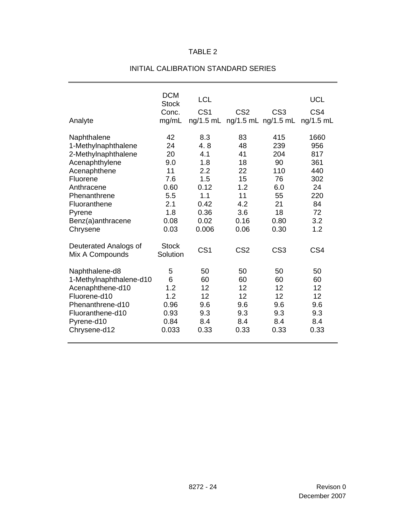| Analyte                                  | <b>DCM</b><br><b>Stock</b><br>Conc.<br>mg/mL | <b>LCL</b><br>CS <sub>1</sub><br>ng/1.5 mL | CS <sub>2</sub> | CS <sub>3</sub><br>ng/1.5 mL ng/1.5 mL | <b>UCL</b><br>CS4<br>ng/1.5 mL |
|------------------------------------------|----------------------------------------------|--------------------------------------------|-----------------|----------------------------------------|--------------------------------|
| Naphthalene                              | 42                                           | 8.3                                        | 83              | 415                                    | 1660                           |
| 1-Methylnaphthalene                      | 24                                           | 4.8                                        | 48              | 239                                    | 956                            |
| 2-Methylnaphthalene                      | 20                                           | 4.1                                        | 41              | 204                                    | 817                            |
| Acenaphthylene                           | 9.0                                          | 1.8                                        | 18              | 90                                     | 361                            |
| Acenaphthene                             | 11                                           | 2.2                                        | 22              | 110                                    | 440                            |
| Fluorene                                 | 7.6                                          | 1.5                                        | 15              | 76                                     | 302                            |
| Anthracene                               | 0.60                                         | 0.12                                       | 1.2             | 6.0                                    | 24                             |
| Phenanthrene                             | 5.5                                          | 1.1                                        | 11              | 55                                     | 220                            |
| Fluoranthene                             | 2.1                                          | 0.42                                       | 4.2             | 21                                     | 84                             |
| Pyrene                                   | 1.8                                          | 0.36                                       | 3.6             | 18                                     | 72                             |
| Benz(a)anthracene                        | 0.08                                         | 0.02                                       | 0.16            | 0.80                                   | 3.2                            |
| Chrysene                                 | 0.03                                         | 0.006                                      | 0.06            | 0.30                                   | 1.2                            |
| Deuterated Analogs of<br>Mix A Compounds | <b>Stock</b><br>Solution                     | CS <sub>1</sub>                            | CS <sub>2</sub> | CS <sub>3</sub>                        | CS <sub>4</sub>                |
| Naphthalene-d8                           | 5                                            | 50                                         | 50              | 50                                     | 50                             |
| 1-Methylnaphthalene-d10                  | 6                                            | 60                                         | 60              | 60                                     | 60                             |
| Acenaphthene-d10                         | 1.2                                          | 12                                         | 12              | 12                                     | 12                             |
| Fluorene-d10                             | 1.2                                          | 12                                         | 12              | 12                                     | 12                             |
| Phenanthrene-d10                         | 0.96                                         | 9.6                                        | 9.6             | 9.6                                    | 9.6                            |
| Fluoranthene-d10                         | 0.93                                         | 9.3                                        | 9.3             | 9.3                                    | 9.3                            |
| Pyrene-d10                               | 0.84                                         | 8.4                                        | 8.4             | 8.4                                    | 8.4                            |
| Chrysene-d12                             | 0.033                                        | 0.33                                       | 0.33            | 0.33                                   | 0.33                           |

## INITIAL CALIBRATION STANDARD SERIES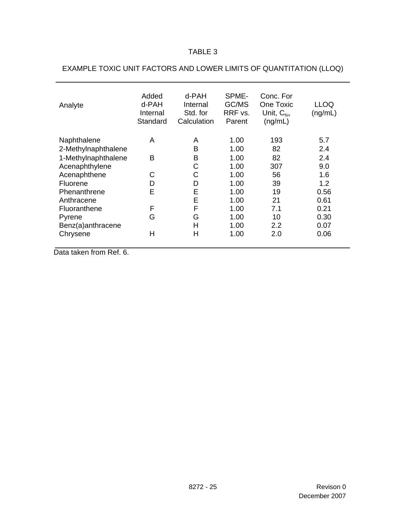| Analyte             | Added<br>d-PAH<br>Internal<br>Standard | d-PAH<br>Internal<br>Std. for<br>Calculation | SPME-<br>GC/MS<br>RRF vs.<br>Parent | Conc. For<br>One Toxic<br>Unit, $C_{tu}$ ,<br>(ng/mL) | <b>LLOQ</b><br>(ng/mL) |
|---------------------|----------------------------------------|----------------------------------------------|-------------------------------------|-------------------------------------------------------|------------------------|
| Naphthalene         | A                                      | A                                            | 1.00                                | 193                                                   | 5.7                    |
| 2-Methylnaphthalene |                                        | B                                            | 1.00                                | 82                                                    | 2.4                    |
| 1-Methylnaphthalene | В                                      | B                                            | 1.00                                | 82                                                    | 2.4                    |
| Acenaphthylene      |                                        | С                                            | 1.00                                | 307                                                   | 9.0                    |
| Acenaphthene        | С                                      | С                                            | 1.00                                | 56                                                    | 1.6                    |
| <b>Fluorene</b>     | D                                      | D                                            | 1.00                                | 39                                                    | 1.2                    |
| Phenanthrene        | Е                                      | Е                                            | 1.00                                | 19                                                    | 0.56                   |
| Anthracene          |                                        | Е                                            | 1.00                                | 21                                                    | 0.61                   |
| Fluoranthene        | F                                      | F                                            | 1.00                                | 7.1                                                   | 0.21                   |
| Pyrene              | G                                      | G                                            | 1.00                                | 10                                                    | 0.30                   |
| Benz(a)anthracene   |                                        | н                                            | 1.00                                | $2.2\phantom{0}$                                      | 0.07                   |
| Chrysene            | Н                                      | Н                                            | 1.00                                | 2.0                                                   | 0.06                   |

### EXAMPLE TOXIC UNIT FACTORS AND LOWER LIMITS OF QUANTITATION (LLOQ)

Data taken from Ref. 6.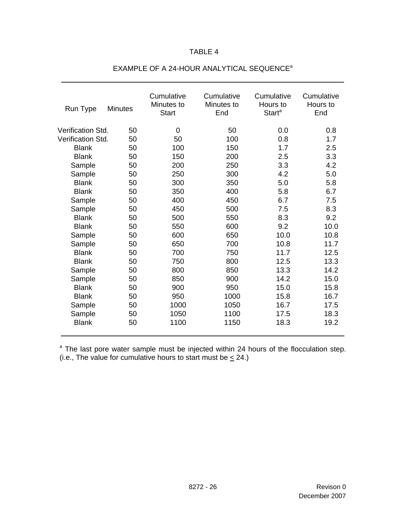| Run Type          | <b>Minutes</b> | Cumulative<br>Minutes to<br><b>Start</b> | Cumulative<br>Minutes to<br>End | Cumulative<br>Hours to<br><b>Start<sup>a</sup></b> | Cumulative<br>Hours to<br>End |
|-------------------|----------------|------------------------------------------|---------------------------------|----------------------------------------------------|-------------------------------|
| Verification Std. | 50             | 0                                        | 50                              | 0.0                                                | 0.8                           |
| Verification Std. | 50             | 50                                       | 100                             | 0.8                                                | 1.7                           |
| <b>Blank</b>      | 50             | 100                                      | 150                             | 1.7                                                | 2.5                           |
| <b>Blank</b>      | 50             | 150                                      | 200                             | 2.5                                                | 3.3                           |
| Sample            | 50             | 200                                      | 250                             | 3.3                                                | 4.2                           |
| Sample            | 50             | 250                                      | 300                             | 4.2                                                | 5.0                           |
| <b>Blank</b>      | 50             | 300                                      | 350                             | 5.0                                                | 5.8                           |
| <b>Blank</b>      | 50             | 350                                      | 400                             | 5.8                                                | 6.7                           |
| Sample            | 50             | 400                                      | 450                             | 6.7                                                | 7.5                           |
| Sample            | 50             | 450                                      | 500                             | 7.5                                                | 8.3                           |
| <b>Blank</b>      | 50             | 500                                      | 550                             | 8.3                                                | 9.2                           |
| <b>Blank</b>      | 50             | 550                                      | 600                             | 9.2                                                | 10.0                          |
| Sample            | 50             | 600                                      | 650                             | 10.0                                               | 10.8                          |
| Sample            | 50             | 650                                      | 700                             | 10.8                                               | 11.7                          |
| <b>Blank</b>      | 50             | 700                                      | 750                             | 11.7                                               | 12.5                          |
| <b>Blank</b>      | 50             | 750                                      | 800                             | 12.5                                               | 13.3                          |
| Sample            | 50             | 800                                      | 850                             | 13.3                                               | 14.2                          |
| Sample            | 50             | 850                                      | 900                             | 14.2                                               | 15.0                          |
| <b>Blank</b>      | 50             | 900                                      | 950                             | 15.0                                               | 15.8                          |
| <b>Blank</b>      | 50             | 950                                      | 1000                            | 15.8                                               | 16.7                          |
| Sample            | 50             | 1000                                     | 1050                            | 16.7                                               | 17.5                          |
| Sample            | 50             | 1050                                     | 1100                            | 17.5                                               | 18.3                          |
| <b>Blank</b>      | 50             | 1100                                     | 1150                            | 18.3                                               | 19.2                          |

#### EXAMPLE OF A 24-HOUR ANALYTICAL SEQUENCE<sup>a</sup>

<sup>a</sup> The last pore water sample must be injected within 24 hours of the flocculation step. (i.e., The value for cumulative hours to start must be  $\leq$  24.)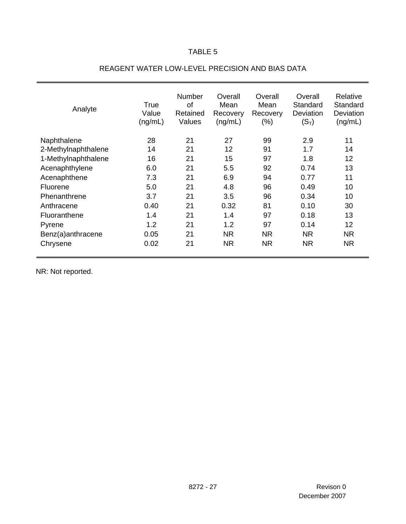| Analyte             | True<br>Value<br>(ng/mL) | Number<br>of<br>Retained<br>Values | Overall<br>Mean<br>Recovery<br>(ng/mL) | Overall<br>Mean<br>Recovery<br>(%) | Overall<br>Standard<br>Deviation<br>$(S_T)$ | Relative<br>Standard<br>Deviation<br>(ng/mL) |
|---------------------|--------------------------|------------------------------------|----------------------------------------|------------------------------------|---------------------------------------------|----------------------------------------------|
| Naphthalene         | 28                       | 21                                 | 27                                     | 99                                 | 2.9                                         | 11                                           |
| 2-Methylnaphthalene | 14                       | 21                                 | 12                                     | 91                                 | 1.7                                         | 14                                           |
| 1-Methylnaphthalene | 16                       | 21                                 | 15                                     | 97                                 | 1.8                                         | 12                                           |
| Acenaphthylene      | 6.0                      | 21                                 | 5.5                                    | 92                                 | 0.74                                        | 13                                           |
| Acenaphthene        | 7.3                      | 21                                 | 6.9                                    | 94                                 | 0.77                                        | 11                                           |
| Fluorene            | 5.0                      | 21                                 | 4.8                                    | 96                                 | 0.49                                        | 10                                           |
| Phenanthrene        | 3.7                      | 21                                 | 3.5                                    | 96                                 | 0.34                                        | 10                                           |
| Anthracene          | 0.40                     | 21                                 | 0.32                                   | 81                                 | 0.10                                        | 30                                           |
| Fluoranthene        | 1.4                      | 21                                 | 1.4                                    | 97                                 | 0.18                                        | 13                                           |
| Pyrene              | 1.2                      | 21                                 | 1.2                                    | 97                                 | 0.14                                        | 12                                           |
| Benz(a)anthracene   | 0.05                     | 21                                 | <b>NR</b>                              | <b>NR</b>                          | <b>NR</b>                                   | <b>NR</b>                                    |
| Chrysene            | 0.02                     | 21                                 | <b>NR</b>                              | <b>NR</b>                          | <b>NR</b>                                   | <b>NR</b>                                    |

## REAGENT WATER LOW-LEVEL PRECISION AND BIAS DATA

NR: Not reported.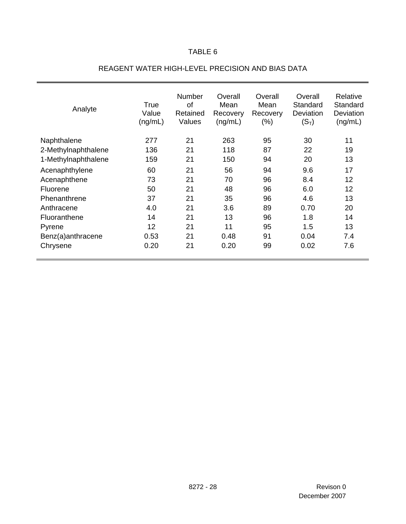| Analyte             | True<br>Value<br>(ng/mL) | Number<br>of<br>Retained<br>Values | Overall<br>Mean<br>Recovery<br>(ng/mL) | Overall<br>Mean<br>Recovery<br>(%) | Overall<br>Standard<br>Deviation<br>$(S_T)$ | Relative<br>Standard<br>Deviation<br>(ng/mL) |
|---------------------|--------------------------|------------------------------------|----------------------------------------|------------------------------------|---------------------------------------------|----------------------------------------------|
| Naphthalene         | 277                      | 21                                 | 263                                    | 95                                 | 30                                          | 11                                           |
| 2-Methylnaphthalene | 136                      | 21                                 | 118                                    | 87                                 | 22                                          | 19                                           |
| 1-Methylnaphthalene | 159                      | 21                                 | 150                                    | 94                                 | 20                                          | 13                                           |
| Acenaphthylene      | 60                       | 21                                 | 56                                     | 94                                 | 9.6                                         | 17                                           |
| Acenaphthene        | 73                       | 21                                 | 70                                     | 96                                 | 8.4                                         | 12                                           |
| Fluorene            | 50                       | 21                                 | 48                                     | 96                                 | 6.0                                         | 12                                           |
| Phenanthrene        | 37                       | 21                                 | 35                                     | 96                                 | 4.6                                         | 13                                           |
| Anthracene          | 4.0                      | 21                                 | 3.6                                    | 89                                 | 0.70                                        | 20                                           |
| <b>Fluoranthene</b> | 14                       | 21                                 | 13                                     | 96                                 | 1.8                                         | 14                                           |
| Pyrene              | 12                       | 21                                 | 11                                     | 95                                 | 1.5                                         | 13                                           |
| Benz(a)anthracene   | 0.53                     | 21                                 | 0.48                                   | 91                                 | 0.04                                        | 7.4                                          |
| Chrysene            | 0.20                     | 21                                 | 0.20                                   | 99                                 | 0.02                                        | 7.6                                          |

## REAGENT WATER HIGH-LEVEL PRECISION AND BIAS DATA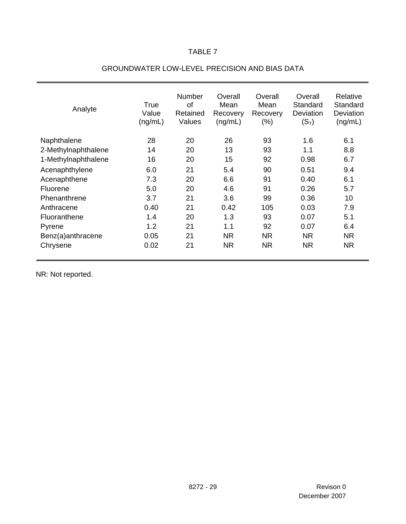| Analyte             | True<br>Value<br>(ng/mL) | Number<br><b>of</b><br>Retained<br>Values | Overall<br>Mean<br>Recovery<br>(ng/mL) | Overall<br>Mean<br>Recovery<br>(%) | Overall<br>Standard<br>Deviation<br>$(S_T)$ | Relative<br>Standard<br>Deviation<br>(ng/mL) |
|---------------------|--------------------------|-------------------------------------------|----------------------------------------|------------------------------------|---------------------------------------------|----------------------------------------------|
| Naphthalene         | 28                       | 20                                        | 26                                     | 93                                 | 1.6                                         | 6.1                                          |
| 2-Methylnaphthalene | 14                       | 20                                        | 13                                     | 93                                 | 1.1                                         | 8.8                                          |
| 1-Methylnaphthalene | 16                       | 20                                        | 15                                     | 92                                 | 0.98                                        | 6.7                                          |
| Acenaphthylene      | 6.0                      | 21                                        | 5.4                                    | 90                                 | 0.51                                        | 9.4                                          |
| Acenaphthene        | 7.3                      | 20                                        | 6.6                                    | 91                                 | 0.40                                        | 6.1                                          |
| Fluorene            | 5.0                      | 20                                        | 4.6                                    | 91                                 | 0.26                                        | 5.7                                          |
| Phenanthrene        | 3.7                      | 21                                        | 3.6                                    | 99                                 | 0.36                                        | 10                                           |
| Anthracene          | 0.40                     | 21                                        | 0.42                                   | 105                                | 0.03                                        | 7.9                                          |
| Fluoranthene        | 1.4                      | 20                                        | 1.3                                    | 93                                 | 0.07                                        | 5.1                                          |
| Pyrene              | 1.2                      | 21                                        | 1.1                                    | 92                                 | 0.07                                        | 6.4                                          |
| Benz(a)anthracene   | 0.05                     | 21                                        | <b>NR</b>                              | NR.                                | <b>NR</b>                                   | <b>NR</b>                                    |
| Chrysene            | 0.02                     | 21                                        | <b>NR</b>                              | <b>NR</b>                          | <b>NR</b>                                   | <b>NR</b>                                    |

## GROUNDWATER LOW-LEVEL PRECISION AND BIAS DATA

NR: Not reported.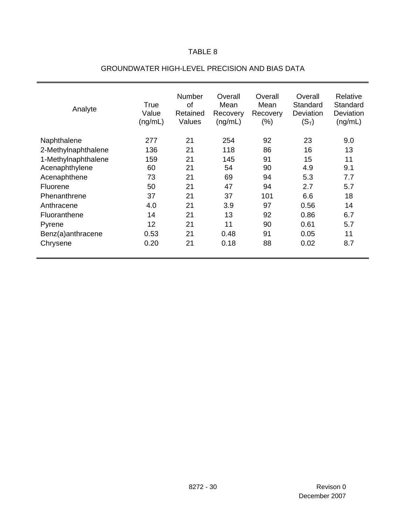| Analyte             | True<br>Value<br>(ng/mL) | Number<br><b>of</b><br>Retained<br>Values | Overall<br>Mean<br>Recovery<br>(ng/mL) | Overall<br>Mean<br>Recovery<br>(%) | Overall<br>Standard<br>Deviation<br>$(S_T)$ | Relative<br>Standard<br>Deviation<br>(ng/mL) |
|---------------------|--------------------------|-------------------------------------------|----------------------------------------|------------------------------------|---------------------------------------------|----------------------------------------------|
| Naphthalene         | 277                      | 21                                        | 254                                    | 92                                 | 23                                          | 9.0                                          |
| 2-Methylnaphthalene | 136                      | 21                                        | 118                                    | 86                                 | 16                                          | 13                                           |
| 1-Methylnaphthalene | 159                      | 21                                        | 145                                    | 91                                 | 15                                          | 11                                           |
| Acenaphthylene      | 60                       | 21                                        | 54                                     | 90                                 | 4.9                                         | 9.1                                          |
| Acenaphthene        | 73                       | 21                                        | 69                                     | 94                                 | 5.3                                         | 7.7                                          |
| Fluorene            | 50                       | 21                                        | 47                                     | 94                                 | 2.7                                         | 5.7                                          |
| Phenanthrene        | 37                       | 21                                        | 37                                     | 101                                | 6.6                                         | 18                                           |
| Anthracene          | 4.0                      | 21                                        | 3.9                                    | 97                                 | 0.56                                        | 14                                           |
| Fluoranthene        | 14                       | 21                                        | 13                                     | 92                                 | 0.86                                        | 6.7                                          |
| Pyrene              | 12                       | 21                                        | 11                                     | 90                                 | 0.61                                        | 5.7                                          |
| Benz(a)anthracene   | 0.53                     | 21                                        | 0.48                                   | 91                                 | 0.05                                        | 11                                           |
| Chrysene            | 0.20                     | 21                                        | 0.18                                   | 88                                 | 0.02                                        | 8.7                                          |

## GROUNDWATER HIGH-LEVEL PRECISION AND BIAS DATA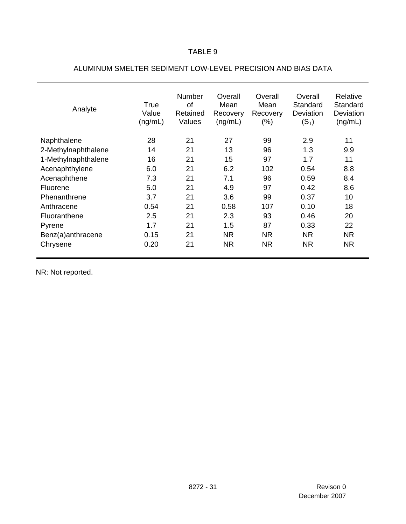| Analyte             | True<br>Value<br>(ng/mL) | Number<br><b>of</b><br>Retained<br>Values | Overall<br>Mean<br>Recovery<br>(ng/mL) | Overall<br>Mean<br>Recovery<br>(%) | Overall<br>Standard<br>Deviation<br>$(S_T)$ | Relative<br>Standard<br>Deviation<br>(ng/mL) |
|---------------------|--------------------------|-------------------------------------------|----------------------------------------|------------------------------------|---------------------------------------------|----------------------------------------------|
| Naphthalene         | 28                       | 21                                        | 27                                     | 99                                 | 2.9                                         | 11                                           |
| 2-Methylnaphthalene | 14                       | 21                                        | 13                                     | 96                                 | 1.3                                         | 9.9                                          |
| 1-Methylnaphthalene | 16                       | 21                                        | 15                                     | 97                                 | 1.7                                         | 11                                           |
| Acenaphthylene      | 6.0                      | 21                                        | 6.2                                    | 102                                | 0.54                                        | 8.8                                          |
| Acenaphthene        | 7.3                      | 21                                        | 7.1                                    | 96                                 | 0.59                                        | 8.4                                          |
| <b>Fluorene</b>     | 5.0                      | 21                                        | 4.9                                    | 97                                 | 0.42                                        | 8.6                                          |
| Phenanthrene        | 3.7                      | 21                                        | 3.6                                    | 99                                 | 0.37                                        | 10                                           |
| Anthracene          | 0.54                     | 21                                        | 0.58                                   | 107                                | 0.10                                        | 18                                           |
| Fluoranthene        | 2.5                      | 21                                        | 2.3                                    | 93                                 | 0.46                                        | 20                                           |
| Pyrene              | 1.7                      | 21                                        | 1.5                                    | 87                                 | 0.33                                        | 22                                           |
| Benz(a)anthracene   | 0.15                     | 21                                        | <b>NR</b>                              | <b>NR</b>                          | <b>NR</b>                                   | <b>NR</b>                                    |
| Chrysene            | 0.20                     | 21                                        | <b>NR</b>                              | <b>NR</b>                          | <b>NR</b>                                   | <b>NR</b>                                    |

# ALUMINUM SMELTER SEDIMENT LOW-LEVEL PRECISION AND BIAS DATA

NR: Not reported.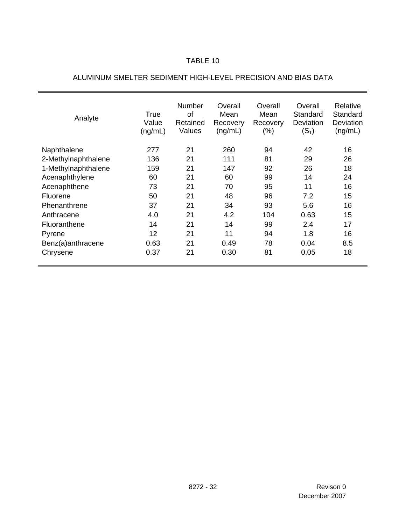| Analyte             | True<br>Value<br>(ng/mL) | <b>Number</b><br>of<br>Retained<br>Values | Overall<br>Mean<br>Recovery<br>(ng/mL) | Overall<br>Mean<br>Recovery<br>(% ) | Overall<br>Standard<br>Deviation<br>$(S_T)$ | Relative<br>Standard<br>Deviation<br>(ng/mL) |
|---------------------|--------------------------|-------------------------------------------|----------------------------------------|-------------------------------------|---------------------------------------------|----------------------------------------------|
| Naphthalene         | 277                      | 21                                        | 260                                    | 94                                  | 42                                          | 16                                           |
| 2-Methylnaphthalene | 136                      | 21                                        | 111                                    | 81                                  | 29                                          | 26                                           |
| 1-Methylnaphthalene | 159                      | 21                                        | 147                                    | 92                                  | 26                                          | 18                                           |
| Acenaphthylene      | 60                       | 21                                        | 60                                     | 99                                  | 14                                          | 24                                           |
| Acenaphthene        | 73                       | 21                                        | 70                                     | 95                                  | 11                                          | 16                                           |
| Fluorene            | 50                       | 21                                        | 48                                     | 96                                  | 7.2                                         | 15                                           |
| Phenanthrene        | 37                       | 21                                        | 34                                     | 93                                  | 5.6                                         | 16                                           |
| Anthracene          | 4.0                      | 21                                        | 4.2                                    | 104                                 | 0.63                                        | 15                                           |
| <b>Fluoranthene</b> | 14                       | 21                                        | 14                                     | 99                                  | 2.4                                         | 17                                           |
| Pyrene              | 12                       | 21                                        | 11                                     | 94                                  | 1.8                                         | 16                                           |
| Benz(a)anthracene   | 0.63                     | 21                                        | 0.49                                   | 78                                  | 0.04                                        | 8.5                                          |
| Chrysene            | 0.37                     | 21                                        | 0.30                                   | 81                                  | 0.05                                        | 18                                           |

# ALUMINUM SMELTER SEDIMENT HIGH-LEVEL PRECISION AND BIAS DATA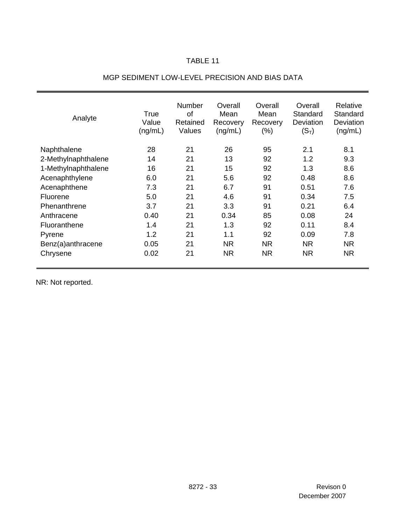| Analyte             | True<br>Value<br>(ng/mL) | Number<br><b>of</b><br>Retained<br>Values | Overall<br>Mean<br>Recovery<br>(ng/mL) | Overall<br>Mean<br>Recovery<br>(% ) | Overall<br>Standard<br>Deviation<br>$(S_T)$ | Relative<br>Standard<br>Deviation<br>(ng/mL) |
|---------------------|--------------------------|-------------------------------------------|----------------------------------------|-------------------------------------|---------------------------------------------|----------------------------------------------|
| Naphthalene         | 28                       | 21                                        | 26                                     | 95                                  | 2.1                                         | 8.1                                          |
| 2-Methylnaphthalene | 14                       | 21                                        | 13                                     | 92                                  | 1.2                                         | 9.3                                          |
| 1-Methylnaphthalene | 16                       | 21                                        | 15                                     | 92                                  | 1.3                                         | 8.6                                          |
| Acenaphthylene      | 6.0                      | 21                                        | 5.6                                    | 92                                  | 0.48                                        | 8.6                                          |
| Acenaphthene        | 7.3                      | 21                                        | 6.7                                    | 91                                  | 0.51                                        | 7.6                                          |
| Fluorene            | 5.0                      | 21                                        | 4.6                                    | 91                                  | 0.34                                        | 7.5                                          |
| Phenanthrene        | 3.7                      | 21                                        | 3.3                                    | 91                                  | 0.21                                        | 6.4                                          |
| Anthracene          | 0.40                     | 21                                        | 0.34                                   | 85                                  | 0.08                                        | 24                                           |
| Fluoranthene        | 1.4                      | 21                                        | 1.3                                    | 92                                  | 0.11                                        | 8.4                                          |
| Pyrene              | 1.2                      | 21                                        | 1.1                                    | 92                                  | 0.09                                        | 7.8                                          |
| Benz(a)anthracene   | 0.05                     | 21                                        | <b>NR</b>                              | <b>NR</b>                           | <b>NR</b>                                   | <b>NR</b>                                    |
| Chrysene            | 0.02                     | 21                                        | <b>NR</b>                              | <b>NR</b>                           | <b>NR</b>                                   | <b>NR</b>                                    |

# MGP SEDIMENT LOW-LEVEL PRECISION AND BIAS DATA

NR: Not reported.